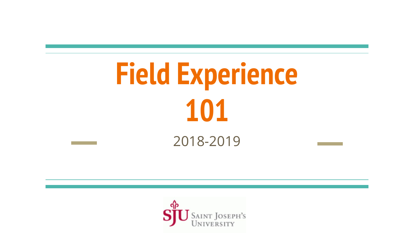# **Field Experience 101** 2018-2019

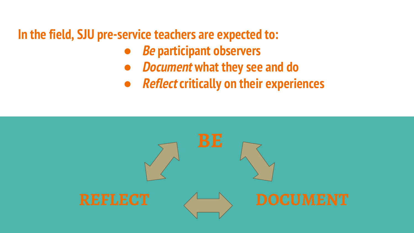**In the field, SJU pre-service teachers are expected to:**

- **● Be participant observers**
- **● Document what they see and do**
- **● Reflect critically on their experiences**

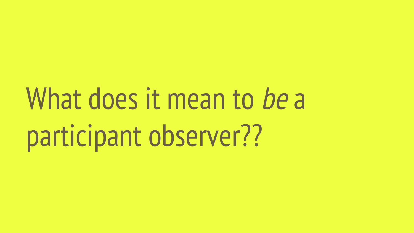# What does it mean to be a participant observer??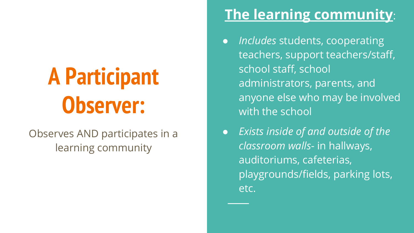# **A Participant Observer:**

### Observes AND participates in a learning community

### **The learning community**:

- *Includes* students, cooperating teachers, support teachers/staff, school staff, school administrators, parents, and anyone else who may be involved with the school
- *Exists inside of and outside of the classroom walls*- in hallways, auditoriums, cafeterias, playgrounds/fields, parking lots, etc.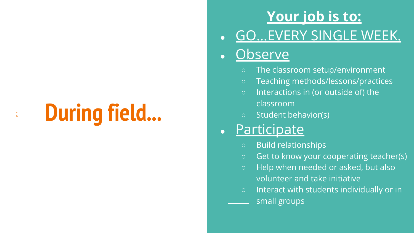# **During field...**

:

### **Your job is to:**

**GO...EVERY SINGLE WEEK.** 

### **Observe**

- The classroom setup/environment
- Teaching methods/lessons/practices
- Interactions in (or outside of) the classroom
- Student behavior(s)

### Participate

- Build relationships
- Get to know your cooperating teacher(s)
- Help when needed or asked, but also volunteer and take initiative
- Interact with students individually or in small groups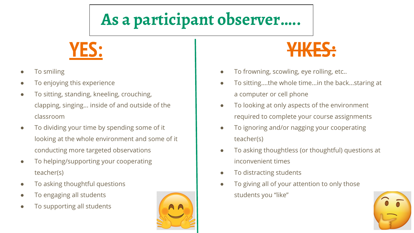## **As a participant observer…..**

**YES:**

- To smiling
- To enjoying this experience
- To sitting, standing, kneeling, crouching, clapping, singing... inside of and outside of the classroom
- To dividing your time by spending some of it looking at the whole environment and some of it conducting more targeted observations
- To helping/supporting your cooperating teacher(s)
- To asking thoughtful questions
- To engaging all students
- To supporting all students





- To frowning, scowling, eye rolling, etc..
- To sitting....the whole time...in the back...staring at a computer or cell phone
- To looking at only aspects of the environment required to complete your course assignments
- To ignoring and/or nagging your cooperating teacher(s)
- To asking thoughtless (or thoughtful) questions at inconvenient times
- To distracting students
- To giving all of your attention to only those students you "like"

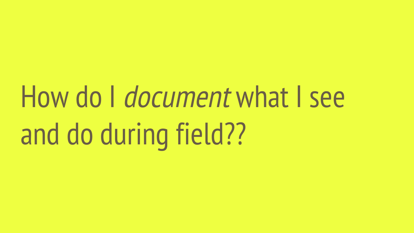# How do *I document* what I see and do during field??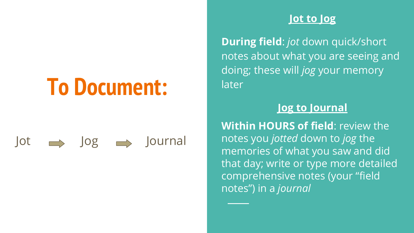# **To Document:**

### $\vert$ ot  $\implies$   $\vert$ og  $\implies$   $\vert$ ournal

#### **Jot to Jog**

**During field**: *jot* down quick/short notes about what you are seeing and doing; these will *jog* your memory later

#### **Jog to Journal**

**Within HOURS of field**: review the notes you *jotted* down to *jog* the memories of what you saw and did that day; write or type more detailed comprehensive notes (your "field notes") in a *journal*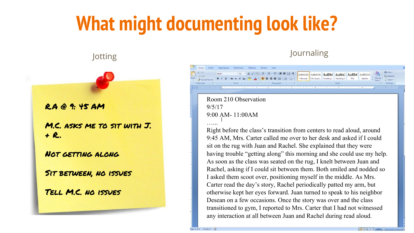# **What might documenting look like?**

R.A @ 9: 45 AM

M.C. asks me to sit with J. + R..

Not getting along

Sit between, no issues

Tell M.C. no issues

#### Jotting Journaling

#### Room 210 Observation 9/5/17 9:00 AM- 11:00AM …...

Page Layout

Right before the class's transition from centers to read aloud, around 9:45 AM, Mrs. Carter called me over to her desk and asked if I could sit on the rug with Juan and Rachel. She explained that they were having trouble "getting along" this morning and she could use my help. As soon as the class was seated on the rug, I knelt between Juan and Rachel, asking if I could sit between them. Both smiled and nodded so I asked them scoot over, positioning myself in the middle. As Mrs. Carter read the day's story, Rachel periodically patted my arm, but otherwise kept her eyes forward. Juan turned to speak to his neighbor Desean on a few occasions. Once the story was over and the class transitioned to gym, I reported to Mrs. Carter that I had not witnessed any interaction at all between Juan and Rachel during read aloud.

44 Find  $\frac{d}{dx}$ , Replace  $\Rightarrow$  Select -Editing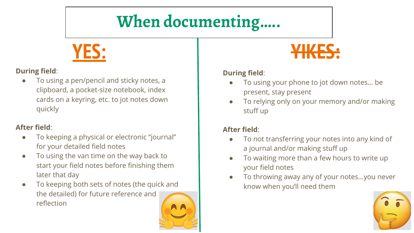## **When documenting…..**

**YES:**

#### **During field**:

To using a pen/pencil and sticky notes, a clipboard, a pocket-size notebook, index cards on a keyring, etc. to jot notes down quickly

#### **After field**:

- To keeping a physical or electronic "journal" for your detailed field notes
- To using the van time on the way back to start your field notes before finishing them later that day
- To keeping both sets of notes (the quick and the detailed) for future reference and reflection





#### **During field**:

- To using your phone to jot down notes... be present, stay present
- To relying only on your memory and/or making stuff up

#### **After field**:

- To not transferring your notes into any kind of a journal and/or making stuff up
- To waiting more than a few hours to write up your field notes
- To throwing away any of your notes...you never know when you'll need them

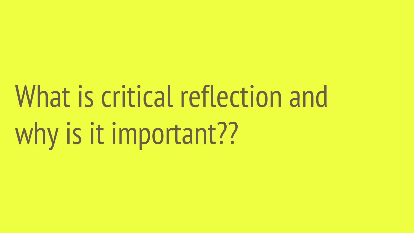# What is critical reflection and why is it important??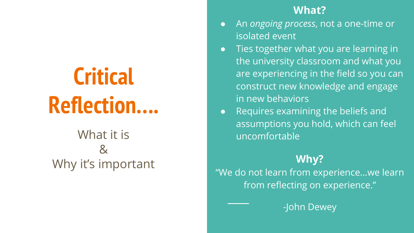# **Critical Reflection….**

### What it is & Why it's important

#### **What?**

- An *ongoing process*, not a one-time or isolated event
- Ties together what you are learning in the university classroom and what you are experiencing in the field so you can construct new knowledge and engage in new behaviors
- Requires examining the beliefs and assumptions you hold, which can feel uncomfortable

### **Why?**

"We do not learn from experience...we learn from reflecting on experience."

-John Dewey